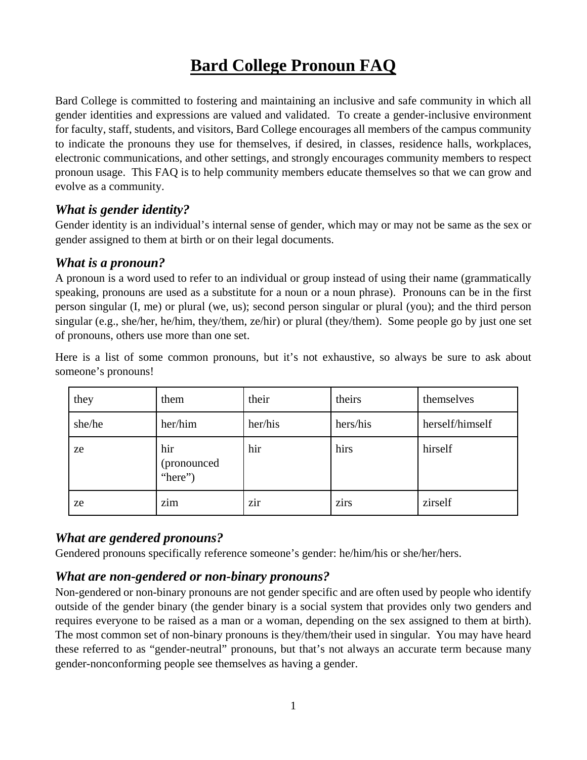# **Bard College Pronoun FAQ**

Bard College is committed to fostering and maintaining an inclusive and safe community in which all gender identities and expressions are valued and validated. To create a gender-inclusive environment for faculty, staff, students, and visitors, Bard College encourages all members of the campus community to indicate the pronouns they use for themselves, if desired, in classes, residence halls, workplaces, electronic communications, and other settings, and strongly encourages community members to respect pronoun usage. This FAQ is to help community members educate themselves so that we can grow and evolve as a community.

## *What is gender identity?*

Gender identity is an individual's internal sense of gender, which may or may not be same as the sex or gender assigned to them at birth or on their legal documents.

## *What is a pronoun?*

A pronoun is a word used to refer to an individual or group instead of using their name (grammatically speaking, pronouns are used as a substitute for a noun or a noun phrase). Pronouns can be in the first person singular (I, me) or plural (we, us); second person singular or plural (you); and the third person singular (e.g., she/her, he/him, they/them, ze/hir) or plural (they/them). Some people go by just one set of pronouns, others use more than one set.

Here is a list of some common pronouns, but it's not exhaustive, so always be sure to ask about someone's pronouns!

| they   | them                          | their   | theirs   | themselves      |
|--------|-------------------------------|---------|----------|-----------------|
| she/he | her/him                       | her/his | hers/his | herself/himself |
| ze     | hir<br>(pronounced<br>"here") | hir     | hirs     | hirself         |
| ze     | zim                           | zir     | zirs     | zirself         |

## *What are gendered pronouns?*

Gendered pronouns specifically reference someone's gender: he/him/his or she/her/hers.

#### *What are non-gendered or non-binary pronouns?*

Non-gendered or non-binary pronouns are not gender specific and are often used by people who identify outside of the gender binary (the gender binary is a social system that provides only two genders and requires everyone to be raised as a man or a woman, depending on the sex assigned to them at birth). The most common set of non-binary pronouns is they/them/their used in singular. You may have heard these referred to as "gender-neutral" pronouns, but that's not always an accurate term because many gender-nonconforming people see themselves as having a gender.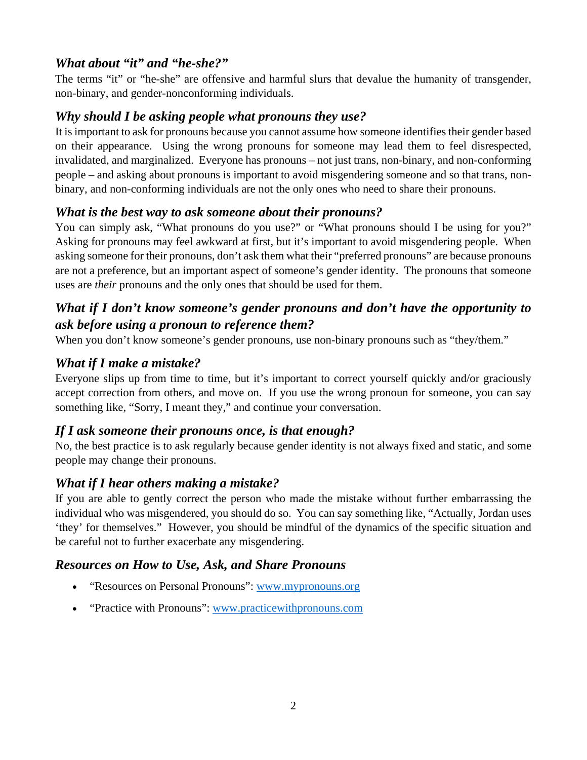## *What about "it" and "he-she?"*

The terms "it" or "he-she" are offensive and harmful slurs that devalue the humanity of transgender, non-binary, and gender-nonconforming individuals.

## *Why should I be asking people what pronouns they use?*

It is important to ask for pronouns because you cannot assume how someone identifies their gender based on their appearance. Using the wrong pronouns for someone may lead them to feel disrespected, invalidated, and marginalized. Everyone has pronouns – not just trans, non-binary, and non-conforming people – and asking about pronouns is important to avoid misgendering someone and so that trans, nonbinary, and non-conforming individuals are not the only ones who need to share their pronouns.

## *What is the best way to ask someone about their pronouns?*

You can simply ask, "What pronouns do you use?" or "What pronouns should I be using for you?" Asking for pronouns may feel awkward at first, but it's important to avoid misgendering people. When asking someone for their pronouns, don't ask them what their "preferred pronouns" are because pronouns are not a preference, but an important aspect of someone's gender identity. The pronouns that someone uses are *their* pronouns and the only ones that should be used for them.

## *What if I don't know someone's gender pronouns and don't have the opportunity to ask before using a pronoun to reference them?*

When you don't know someone's gender pronouns, use non-binary pronouns such as "they/them."

## *What if I make a mistake?*

Everyone slips up from time to time, but it's important to correct yourself quickly and/or graciously accept correction from others, and move on. If you use the wrong pronoun for someone, you can say something like, "Sorry, I meant they," and continue your conversation.

## *If I ask someone their pronouns once, is that enough?*

No, the best practice is to ask regularly because gender identity is not always fixed and static, and some people may change their pronouns.

## *What if I hear others making a mistake?*

If you are able to gently correct the person who made the mistake without further embarrassing the individual who was misgendered, you should do so. You can say something like, "Actually, Jordan uses 'they' for themselves." However, you should be mindful of the dynamics of the specific situation and be careful not to further exacerbate any misgendering.

## *Resources on How to Use, Ask, and Share Pronouns*

- "Resources on Personal Pronouns": www.mypronouns.org
- "Practice with Pronouns": www.practicewithpronouns.com